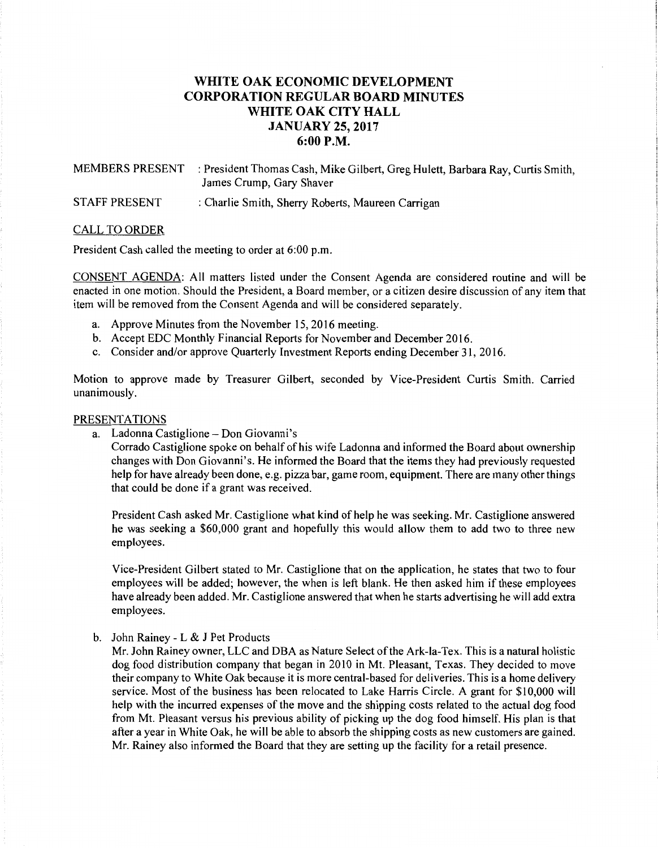# **WHITE OAK ECONOMIC DEVELOPMENT CORPORATION REGULAR BOARD MINUTES WHITE OAK CITY HALL JANUARY 25, 2017 6:00P.M.**

MEMBERS PRESENT : President Thomas Cash, Mike Gilbert, Greg Hulett, Barbara Ray, Curtis Smith, James Crump, Gary Shaver

STAFF PRESENT : Charlie Smith, Sherry Roberts, Maureen Carrigan

## CALL TO ORDER

President Cash called the meeting to order at 6:00 p.m.

CONSENT AGENDA: All matters listed under the Consent Agenda are considered routine and will be enacted in one motion. Should the President, a Board member, or a citizen desire discussion of any item that item will be removed from the Consent Agenda and will be considered separately.

- a. Approve Minutes from the November 15, 2016 meeting.
- b. Accept EDC Monthly Financial Reports for November and December 2016.
- c. Consider and/or approve Quarterly Investment Reports ending December 31, 2016.

Motion to approve made by Treasurer Gilbert, seconded by Vice-President Curtis Smith. Carried unanimously.

## PRESENTATIONS

a. Ladonna Castiglione- Don Giovanni's

Corrado Castiglione spoke on behalf ofhis wife Ladonna and informed the Board about ownership changes with Don Giovanni's. He informed the Board that the items they had previously requested help for have already been done, e.g. pizza bar, game room, equipment. There are many other things that could be done if a grant was received.

President Cash asked Mr. Castiglione what kind of help he was seeking. Mr. Castiglione answered he was seeking a \$60,000 grant and hopefully this would allow them to add two to three new employees.

Vice-President Gilbert stated to Mr. Castiglione that on the application, he states that two to four employees will be added; however, the when is left blank. He then asked him if these employees have already been added. Mr. Castiglione answered that when he starts advertising he will add extra employees.

#### b. John Rainey - L & J Pet Products

Mr. John Rainey owner, LLC and DBA as Nature Select of the Ark-la-Tex. This is a natural holistic dog food distribution company that began in 2010 in Mt. Pleasant, Texas. They decided to move their company to White Oak because it is more central-based for deliveries. This is a home delivery service. Most of the business has been relocated to Lake Harris Circle. A grant for \$10,000 will help with the incurred expenses of the move and the shipping costs related to the actual dog food from Mt. Pleasant versus his previous ability of picking up the dog food himself. His plan is that after a year in White Oak, he will be able to absorb the shipping costs as new customers are gained. Mr. Rainey also informed the Board that they are setting up the facility for a retail presence.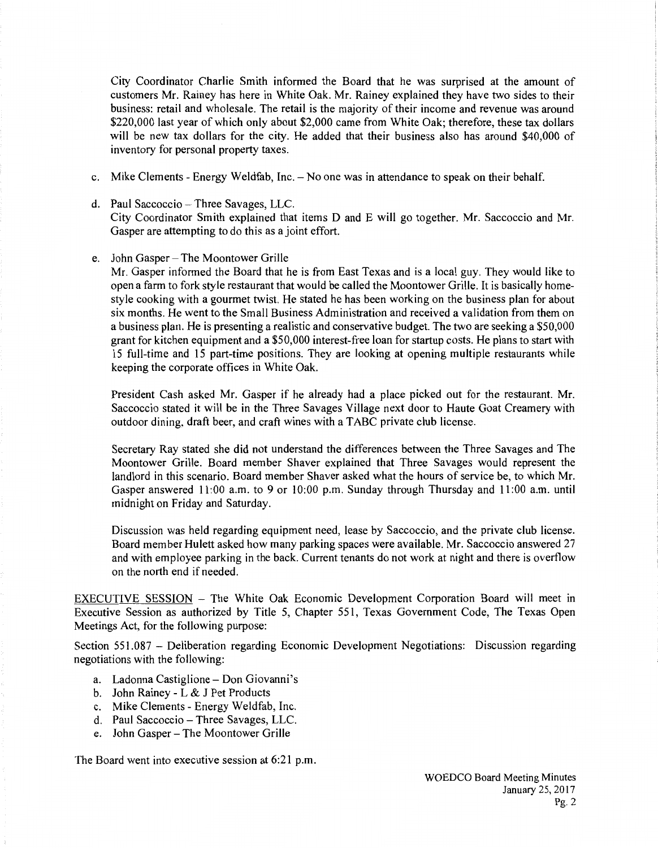City Coordinator Charlie Smith informed the Board that he was surprised at the amount of customers Mr. Rainey has here in White Oak. Mr. Rainey explained they have two sides to their business: retail and wholesale. The retail is the majority of their income and revenue was around \$220,000 last year of which only about \$2,000 came from White Oak; therefore, these tax dollars will be new tax dollars for the city. He added that their business also has around \$40,000 of inventory for personal property taxes.

- c. Mike Clements Energy Weldfab, Inc.  $-N$ o one was in attendance to speak on their behalf.
- d. Paul Saccoccio- Three Savages, LLC. City Coordinator Smith explained that items D and E will go together. Mr. Saccoccio and Mr. Gasper are attempting to do this as a joint effort.
- e. John Gasper- The Moontower Grille

Mr. Gasper informed the Board that he is from East Texas and is a local guy. They would like to open a farm to fork style restaurant that would be called the Moontower Grille. It is basically homestyle cooking with a gourmet twist. He stated he has been working on the business plan for about six months. He went to the Small Business Administration and received a validation from them on a business plan. He is presenting a realistic and conservative budget. The two are seeking a \$50,000 grant for kitchen equipment and a \$50,000 interest-free loan for startup costs. He plans to start with 15 full-time and 15 part-time positions. They are looking at opening multiple restaurants while keeping the corporate offices in White Oak.

President Cash asked Mr. Gasper if he already had a place picked out for the restaurant. Mr. Saccoccio stated it will be in the Three Savages Village next door to Haute Goat Creamery with outdoor dining, draft beer, and craft wines with a TABC private club license.

Secretary Ray stated she did not understand the differences between the Three Savages and The Moontower Grille. Board member Shaver explained that Three Savages would represent the landlord in this scenario. Board member Shaver asked what the hours of service be, to which Mr. Gasper answered 11:00 a.m. to 9 or 10:00 p.m. Sunday through Thursday and 11:00 a.m. until midnight on Friday and Saturday.

Discussion was held regarding equipment need, lease by Saccoccio, and the private club license. Board member Hulett asked how many parking spaces were available. Mr. Saccoccio answered 27 and with employee parking in the back. Current tenants do not work at night and there is overflow on the north end if needed.

EXECUTIVE SESSION - The White Oak Economic Development Corporation Board will meet in Executive Session as authorized by Title 5, Chapter 551, Texas Government Code, The Texas Open Meetings Act, for the following purpose:

Section 551.087 - Deliberation regarding Economic Development Negotiations: Discussion regarding negotiations with the following:

- a. Ladonna Castiglione- Don Giovanni's
- b. John Rainey L & J Pet Products
- c. Mike Clements- Energy Weldfab, Inc.
- d. Paul Saccoccio Three Savages, LLC.
- e. John Gasper- The Moontower Grille

The Board went into executive session at 6:21 p.m.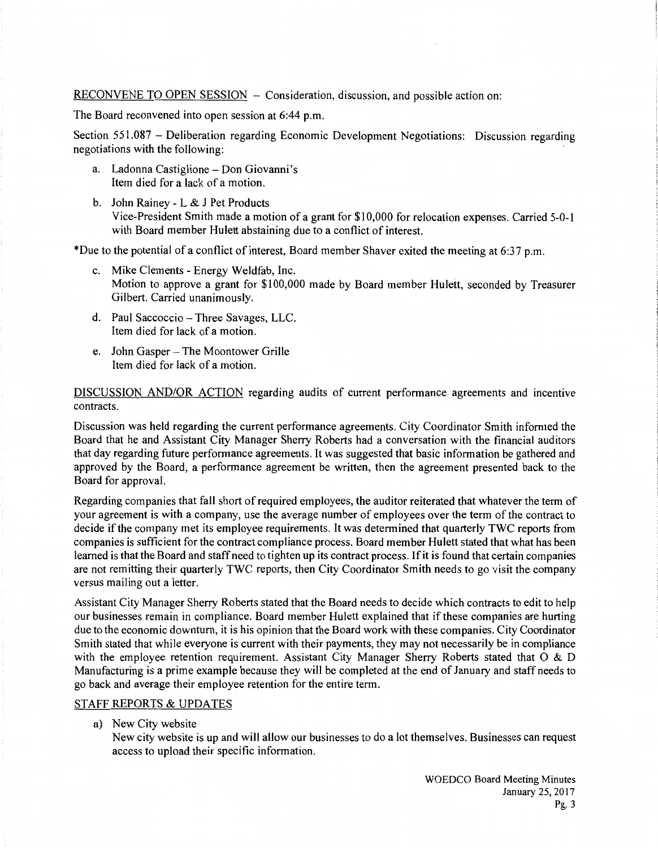RECONVENE TO OPEN SESSION - Consideration, discussion, and possible action on:

The Board reconvened into open session at 6:44 p.m.

Section 551.087 - Deliberation regarding Economic Development Negotiations: Discussion regarding negotiations with the following:

- a. Ladonna Castiglione- Don Giovanni's Item died for a lack of a motion.
- b. John Rainey L & J Pet Products Vice-President Smith made a motion of a grant for \$10,000 for relocation expenses. Carried 5-0-1 with Board member Hulett abstaining due to a conflict of interest.

\*Due to the potential of a conflict of interest, Board member Shaver exited the meeting at 6:37 p.m.

- c. Mike Clements- Energy Weldfab, Inc. Motion to approve a grant for \$100,000 made by Board member Hulett, seconded by Treasurer Gilbert. Carried unanimously.
- d. Paul Saccoccio- Three Savages, LLC. Item died for lack of a motion.
- e. John Gasper- The Moontower Grille Item died for lack of a motion.

DISCUSSION AND/OR ACTION regarding audits of current performance agreements and incentive contracts.

Discussion was held regarding the current performance agreements. City Coordinator Smith informed the Board that he and Assistant City Manager Sherry Roberts had a conversation with the financial auditors that day regarding future performance agreements. It was suggested that basic information be gathered and approved by the Board, a performance agreement be written, then the agreement presented back to the Board for approval.

Regarding companies that fall short of required employees, the auditor reiterated that whatever the term of your agreement is with a company, use the average number of employees over the term of the contract to decide if the company met its employee requirements. It was determined that quarterly TWC reports from companies is sufficient for the contract compliance process. Board member Hulett stated that what has been learned is that the Board and staff need to tighten up its contract process. If it is found that certain companies are not remitting their quarterly TWC reports, then City Coordinator Smith needs to go visit the company versus mailing out a letter.

Assistant City Manager Sherry Roberts stated that the Board needs to decide which contracts to edit to help our businesses remain in compliance. Board member Hulett explained that if these companies are hurting due to the economic downturn, it is his opinion that the Board work with these companies. City Coordinator Smith stated that while everyone is current with their payments, they may not necessarily be in compliance with the employee retention requirement. Assistant City Manager Sherry Roberts stated that O & D Manufacturing is a prime example because they will be completed at the end of January and staff needs to go back and average their employee retention for the entire term.

## STAFF REPORTS & UPDATES

a) New City website

New city website is up and will allow our businesses to do a lot themselves. Businesses can request access to upload their specific information.